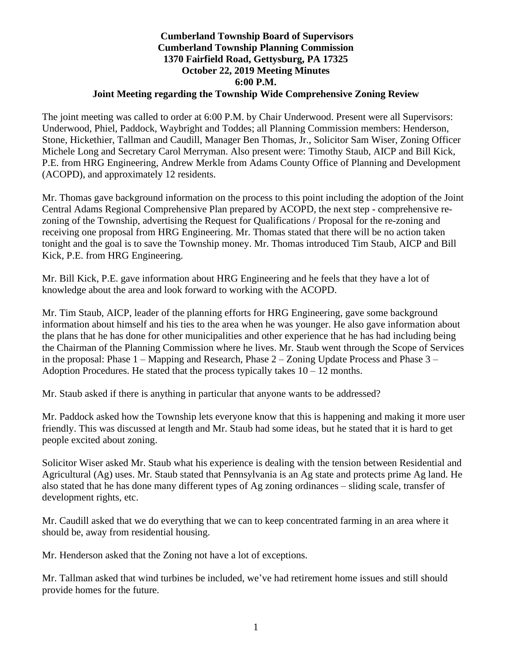## **Cumberland Township Board of Supervisors Cumberland Township Planning Commission 1370 Fairfield Road, Gettysburg, PA 17325 October 22, 2019 Meeting Minutes 6:00 P.M. Joint Meeting regarding the Township Wide Comprehensive Zoning Review**

The joint meeting was called to order at 6:00 P.M. by Chair Underwood. Present were all Supervisors: Underwood, Phiel, Paddock, Waybright and Toddes; all Planning Commission members: Henderson, Stone, Hickethier, Tallman and Caudill, Manager Ben Thomas, Jr., Solicitor Sam Wiser, Zoning Officer Michele Long and Secretary Carol Merryman. Also present were: Timothy Staub, AICP and Bill Kick, P.E. from HRG Engineering, Andrew Merkle from Adams County Office of Planning and Development (ACOPD), and approximately 12 residents.

Mr. Thomas gave background information on the process to this point including the adoption of the Joint Central Adams Regional Comprehensive Plan prepared by ACOPD, the next step - comprehensive rezoning of the Township, advertising the Request for Qualifications / Proposal for the re-zoning and receiving one proposal from HRG Engineering. Mr. Thomas stated that there will be no action taken tonight and the goal is to save the Township money. Mr. Thomas introduced Tim Staub, AICP and Bill Kick, P.E. from HRG Engineering.

Mr. Bill Kick, P.E. gave information about HRG Engineering and he feels that they have a lot of knowledge about the area and look forward to working with the ACOPD.

Mr. Tim Staub, AICP, leader of the planning efforts for HRG Engineering, gave some background information about himself and his ties to the area when he was younger. He also gave information about the plans that he has done for other municipalities and other experience that he has had including being the Chairman of the Planning Commission where he lives. Mr. Staub went through the Scope of Services in the proposal: Phase 1 – Mapping and Research, Phase 2 – Zoning Update Process and Phase 3 – Adoption Procedures. He stated that the process typically takes  $10 - 12$  months.

Mr. Staub asked if there is anything in particular that anyone wants to be addressed?

Mr. Paddock asked how the Township lets everyone know that this is happening and making it more user friendly. This was discussed at length and Mr. Staub had some ideas, but he stated that it is hard to get people excited about zoning.

Solicitor Wiser asked Mr. Staub what his experience is dealing with the tension between Residential and Agricultural (Ag) uses. Mr. Staub stated that Pennsylvania is an Ag state and protects prime Ag land. He also stated that he has done many different types of Ag zoning ordinances – sliding scale, transfer of development rights, etc.

Mr. Caudill asked that we do everything that we can to keep concentrated farming in an area where it should be, away from residential housing.

Mr. Henderson asked that the Zoning not have a lot of exceptions.

Mr. Tallman asked that wind turbines be included, we've had retirement home issues and still should provide homes for the future.